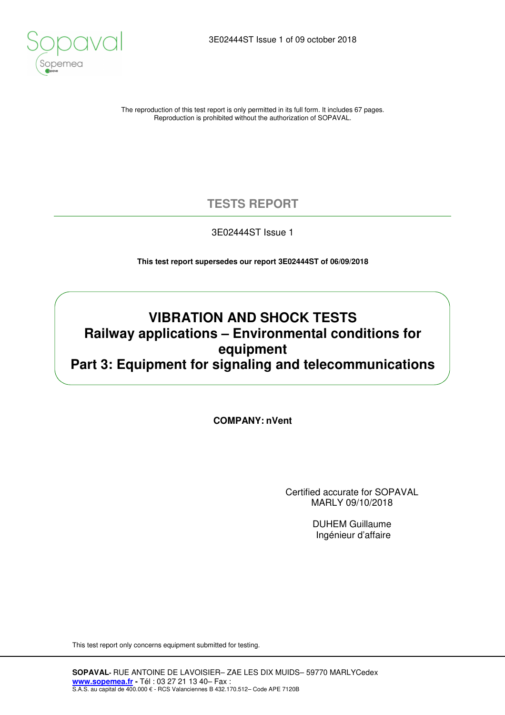

The reproduction of this test report is only permitted in its full form. It includes 67 pages. Reproduction is prohibited without the authorization of SOPAVAL.

## **TESTS REPORT**

3E02444ST Issue 1

**This test report supersedes our report 3E02444ST of 06/09/2018** 

## **VIBRATION AND SHOCK TESTS Railway applications – Environmental conditions for equipment Part 3: Equipment for signaling and telecommunications**

**COMPANY: nVent**

Certified accurate for SOPAVAL MARLY 09/10/2018

> DUHEM Guillaume Ingénieur d'affaire

This test report only concerns equipment submitted for testing.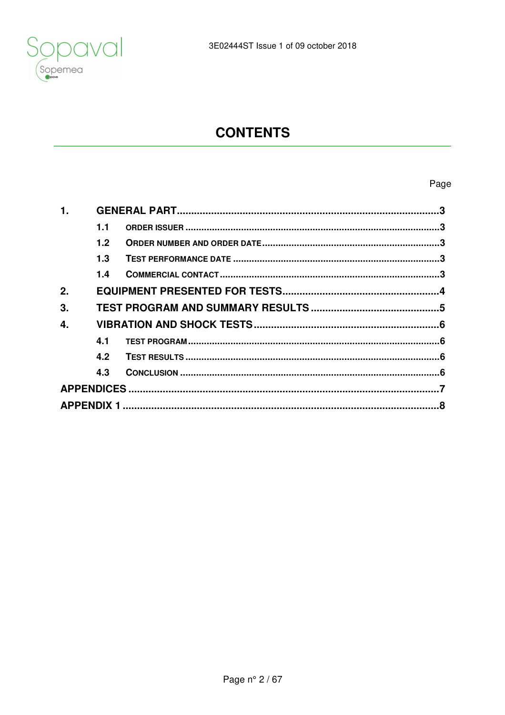

# **CONTENTS**

## Page

| 1.1              |  |
|------------------|--|
| 1.2 <sub>2</sub> |  |
| 1.3              |  |
| 1.4              |  |
|                  |  |
|                  |  |
|                  |  |
| 4.1              |  |
| 4.2              |  |
| 4.3              |  |
|                  |  |
|                  |  |
|                  |  |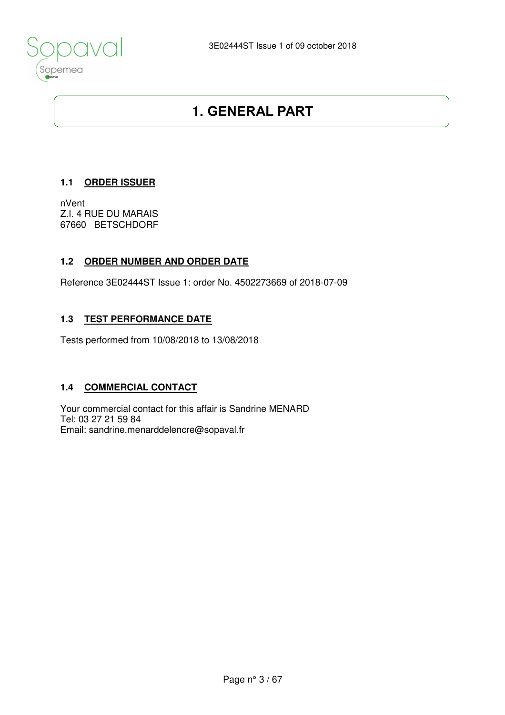

## **1. GENERAL PART**

### **1.1 ORDER ISSUER**

nVent Z.I. 4 RUE DU MARAIS 67660 BETSCHDORF

### **1.2 ORDER NUMBER AND ORDER DATE**

Reference 3E02444ST Issue 1: order No. 4502273669 of 2018-07-09

## **1.3 TEST PERFORMANCE DATE**

Tests performed from 10/08/2018 to 13/08/2018

### **1.4 COMMERCIAL CONTACT**

Your commercial contact for this affair is Sandrine MENARD Tel: 03 27 21 59 84 Email: sandrine.menarddelencre@sopaval.fr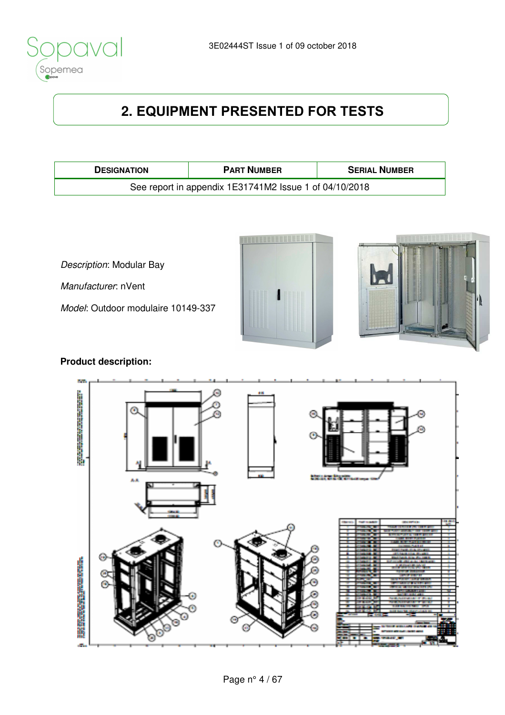

# **2. EQUIPMENT PRESENTED FOR TESTS**

| <b>DESIGNATION</b>                                     | <b>PART NUMBER</b> | <b>SERIAL NUMBER</b> |  |  |  |
|--------------------------------------------------------|--------------------|----------------------|--|--|--|
| See report in appendix 1E31741M2 Issue 1 of 04/10/2018 |                    |                      |  |  |  |

Description: Modular Bay

Manufacturer: nVent

Model: Outdoor modulaire 10149-337





## **Product description:**

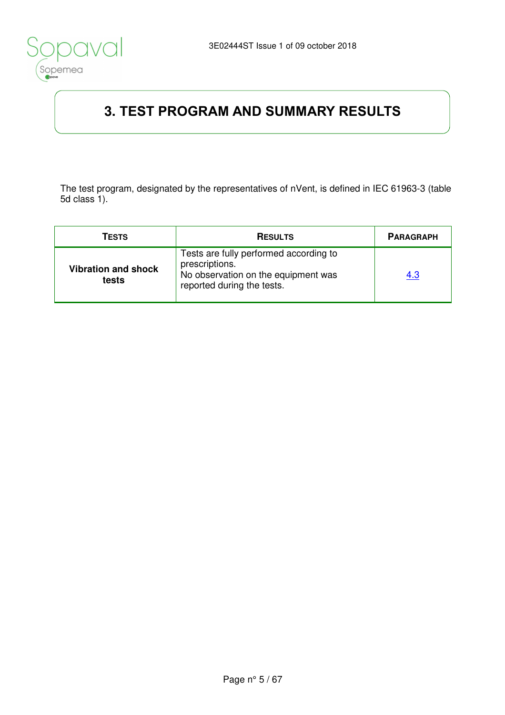

# **3. TEST PROGRAM AND SUMMARY RESULTS**

The test program, designated by the representatives of nVent, is defined in IEC 61963-3 (table 5d class 1).

| TESTS                               | <b>RESULTS</b>                                                                                                                | <b>PARAGRAPH</b> |
|-------------------------------------|-------------------------------------------------------------------------------------------------------------------------------|------------------|
| <b>Vibration and shock</b><br>tests | Tests are fully performed according to<br>prescriptions.<br>No observation on the equipment was<br>reported during the tests. | 4.3              |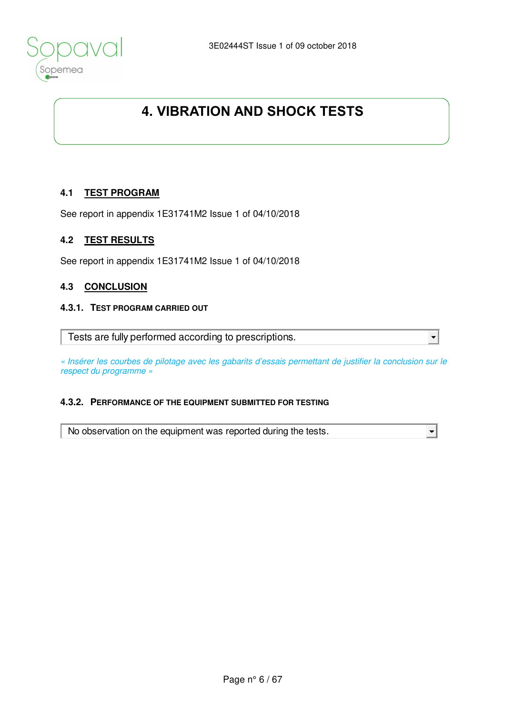

# **4. VIBRATION AND SHOCK TESTS**

### **4.1 TEST PROGRAM**

See report in appendix 1E31741M2 Issue 1 of 04/10/2018

#### **4.2 TEST RESULTS**

See report in appendix 1E31741M2 Issue 1 of 04/10/2018

#### **4.3 CONCLUSION**

#### **4.3.1. TEST PROGRAM CARRIED OUT**

Tests are fully performed according to prescriptions.

« Insérer les courbes de pilotage avec les gabarits d'essais permettant de justifier la conclusion sur le respect du programme »

 $\blacktriangledown$ 

#### **4.3.2. PERFORMANCE OF THE EQUIPMENT SUBMITTED FOR TESTING**

No observation on the equipment was reported during the tests.  $\left| \cdot \right|$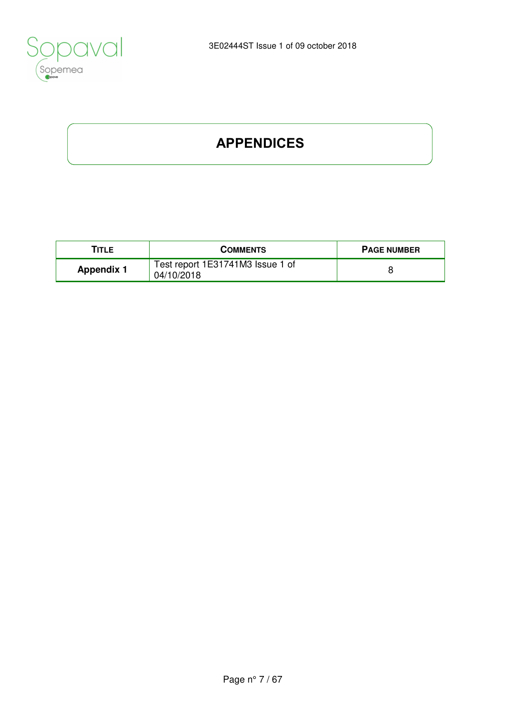

# **APPENDICES**

| TITLE             | <b>COMMENTS</b>                                | <b>PAGE NUMBER</b> |
|-------------------|------------------------------------------------|--------------------|
| <b>Appendix 1</b> | Test report 1E31741M3 Issue 1 of<br>04/10/2018 |                    |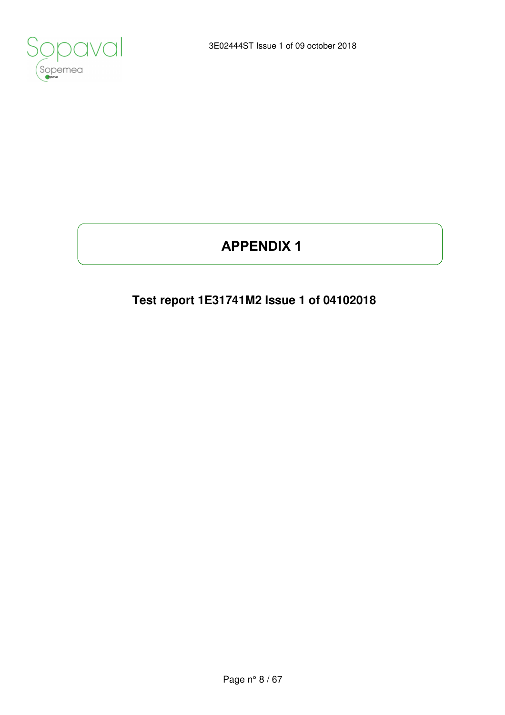

# **APPENDIX 1**

# **Test report 1E31741M2 Issue 1 of 04102018**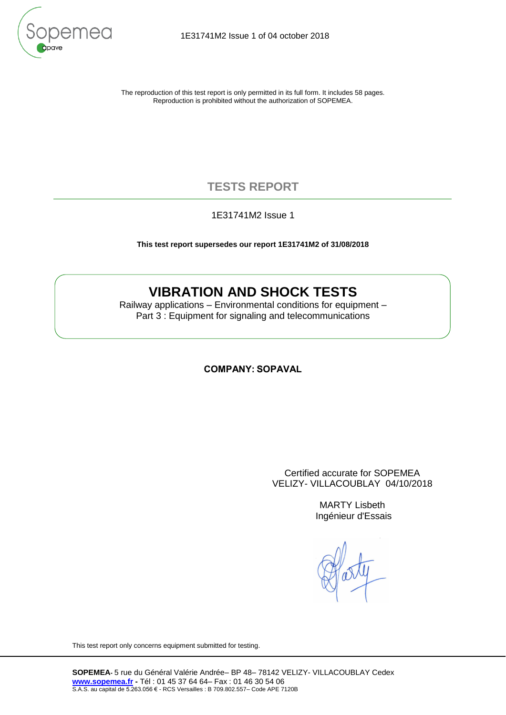

The reproduction of this test report is only permitted in its full form. It includes 58 pages. Reproduction is prohibited without the authorization of SOPEMEA.

## **TESTS REPORT**

1E31741M2 Issue 1

**This test report supersedes our report 1E31741M2 of 31/08/2018**

## **VIBRATION AND SHOCK TESTS**

Railway applications – Environmental conditions for equipment – Part 3 : Equipment for signaling and telecommunications

#### **COMPANY: SOPAVAL**

Certified accurate for SOPEMEA VELIZY- VILLACOUBLAY 04/10/2018

> MARTY Lisbeth Ingénieur d'Essais

This test report only concerns equipment submitted for testing.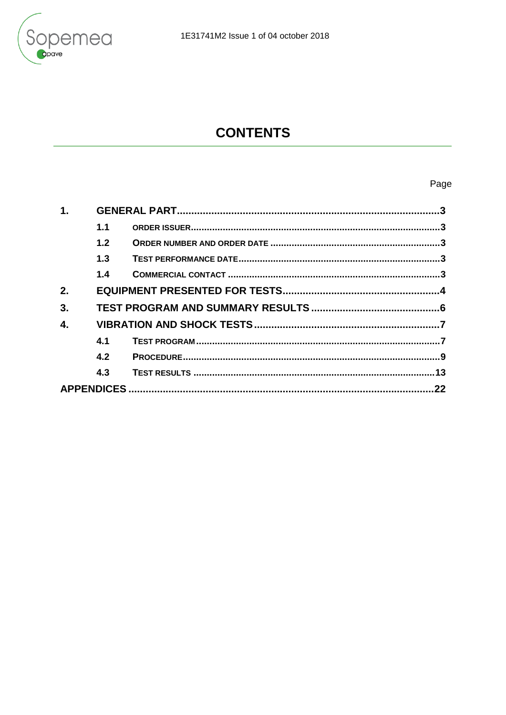

# **CONTENTS**

## Page

<span id="page-9-4"></span><span id="page-9-3"></span><span id="page-9-2"></span><span id="page-9-1"></span><span id="page-9-0"></span>

| 1.1 |  |  |
|-----|--|--|
| 1.2 |  |  |
| 1.3 |  |  |
| 1.4 |  |  |
|     |  |  |
|     |  |  |
|     |  |  |
| 4.1 |  |  |
| 4.2 |  |  |
| 4.3 |  |  |
|     |  |  |
|     |  |  |